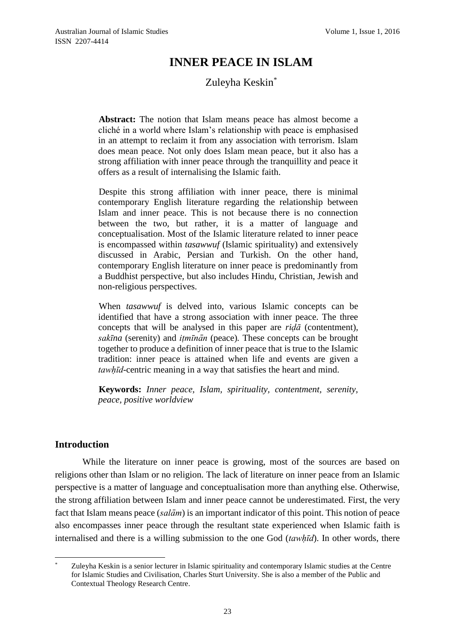# **INNER PEACE IN ISLAM**

# Zuleyha Keskin\*

**Abstract:** The notion that Islam means peace has almost become a cliché in a world where Islam's relationship with peace is emphasised in an attempt to reclaim it from any association with terrorism. Islam does mean peace. Not only does Islam mean peace, but it also has a strong affiliation with inner peace through the tranquillity and peace it offers as a result of internalising the Islamic faith.

Despite this strong affiliation with inner peace, there is minimal contemporary English literature regarding the relationship between Islam and inner peace. This is not because there is no connection between the two, but rather, it is a matter of language and conceptualisation. Most of the Islamic literature related to inner peace is encompassed within *tasawwuf* (Islamic spirituality) and extensively discussed in Arabic, Persian and Turkish. On the other hand, contemporary English literature on inner peace is predominantly from a Buddhist perspective, but also includes Hindu, Christian, Jewish and non-religious perspectives.

When *tasawwuf* is delved into, various Islamic concepts can be identified that have a strong association with inner peace. The three concepts that will be analysed in this paper are *riḍā* (contentment), *sakīna* (serenity) and *itṃ īnān* (peace)*.* These concepts can be brought together to produce a definition of inner peace that is true to the Islamic tradition: inner peace is attained when life and events are given a *tawhị̄d*-centric meaning in a way that satisfies the heart and mind.

**Keywords:** *Inner peace, Islam, spirituality, contentment, serenity, peace, positive worldview*

## **Introduction**

While the literature on inner peace is growing, most of the sources are based on religions other than Islam or no religion. The lack of literature on inner peace from an Islamic perspective is a matter of language and conceptualisation more than anything else. Otherwise, the strong affiliation between Islam and inner peace cannot be underestimated. First, the very fact that Islam means peace (*salām*) is an important indicator of this point. This notion of peace also encompasses inner peace through the resultant state experienced when Islamic faith is internalised and there is a willing submission to the one God (*tawhị̄d*). In other words, there

<sup>1</sup> Zuleyha Keskin is a senior lecturer in Islamic spirituality and contemporary Islamic studies at the Centre for Islamic Studies and Civilisation, Charles Sturt University. She is also a member of the Public and Contextual Theology Research Centre.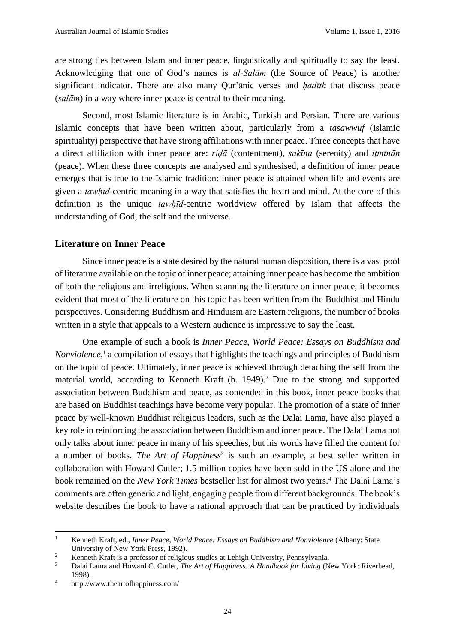are strong ties between Islam and inner peace, linguistically and spiritually to say the least. Acknowledging that one of God's names is *al-Salām* (the Source of Peace) is another significant indicator. There are also many Qur'anic verses and *hadīth* that discuss peace (*salām*) in a way where inner peace is central to their meaning.

Second, most Islamic literature is in Arabic, Turkish and Persian. There are various Islamic concepts that have been written about, particularly from a *tasawwuf* (Islamic spirituality) perspective that have strong affiliations with inner peace. Three concepts that have a direct affiliation with inner peace are: *riḍā* (contentment), *sakīna* (serenity) and *itmīnān* (peace). When these three concepts are analysed and synthesised, a definition of inner peace emerges that is true to the Islamic tradition: inner peace is attained when life and events are given a *tawhị̄d*-centric meaning in a way that satisfies the heart and mind. At the core of this definition is the unique *tawhị̄d*-centric worldview offered by Islam that affects the understanding of God, the self and the universe.

#### **Literature on Inner Peace**

Since inner peace is a state desired by the natural human disposition, there is a vast pool of literature available on the topic of inner peace; attaining inner peace has become the ambition of both the religious and irreligious. When scanning the literature on inner peace, it becomes evident that most of the literature on this topic has been written from the Buddhist and Hindu perspectives. Considering Buddhism and Hinduism are Eastern religions, the number of books written in a style that appeals to a Western audience is impressive to say the least.

One example of such a book is *Inner Peace, World Peace: Essays on Buddhism and Nonviolence*, <sup>1</sup> a compilation of essays that highlights the teachings and principles of Buddhism on the topic of peace. Ultimately, inner peace is achieved through detaching the self from the material world, according to Kenneth Kraft (b. 1949).<sup>2</sup> Due to the strong and supported association between Buddhism and peace, as contended in this book, inner peace books that are based on Buddhist teachings have become very popular. The promotion of a state of inner peace by well-known Buddhist religious leaders, such as the Dalai Lama, have also played a key role in reinforcing the association between Buddhism and inner peace. The Dalai Lama not only talks about inner peace in many of his speeches, but his words have filled the content for a number of books. *The Art of Happiness*<sup>3</sup> is such an example, a best seller written in collaboration with Howard Cutler; 1.5 million copies have been sold in the US alone and the book remained on the *New York Times* bestseller list for almost two years.<sup>4</sup> The Dalai Lama's comments are often generic and light, engaging people from different backgrounds. The book's website describes the book to have a rational approach that can be practiced by individuals

 $\mathbf{1}$ <sup>1</sup> Kenneth Kraft, ed., *Inner Peace*, *World Peace: Essays on Buddhism and Nonviolence* (Albany: State University of New York Press, 1992).

<sup>&</sup>lt;sup>2</sup><br>
2 Kenneth Kraft is a professor of religious studies at Lehigh University, Pennsylvania.<br>
<sup>3</sup> Delai Lame and Housed C. Cutler. The Art of Hanningse: A Handbook for Living (N

<sup>3</sup> Dalai Lama and Howard C. Cutler, *The Art of Happiness: A Handbook for Living* (New York: Riverhead, 1998).

<sup>4</sup> http://www.theartofhappiness.com/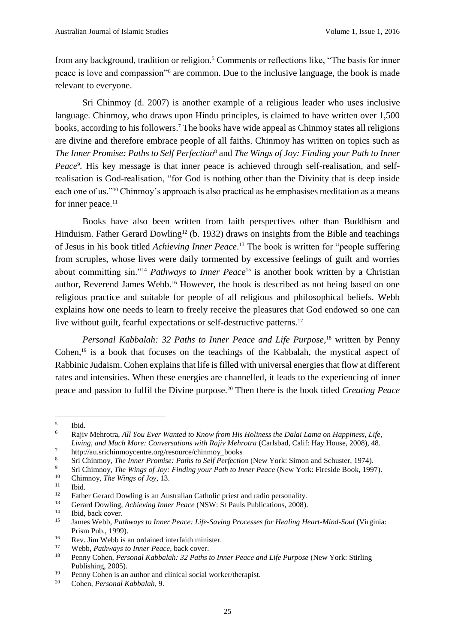from any background, tradition or religion.<sup>5</sup> Comments or reflections like, "The basis for inner peace is love and compassion"<sup>6</sup> are common. Due to the inclusive language, the book is made relevant to everyone.

Sri Chinmoy (d. 2007) is another example of a religious leader who uses inclusive language. Chinmoy, who draws upon Hindu principles, is claimed to have written over 1,500 books, according to his followers.<sup>7</sup> The books have wide appeal as Chinmoy states all religions are divine and therefore embrace people of all faiths. Chinmoy has written on topics such as *The Inner Promise: Paths to Self Perfection*<sup>8</sup> and *The Wings of Joy: Finding your Path to Inner*  Peace<sup>9</sup>. His key message is that inner peace is achieved through self-realisation, and selfrealisation is God-realisation, "for God is nothing other than the Divinity that is deep inside each one of us."<sup>10</sup> Chinmoy's approach is also practical as he emphasises meditation as a means for inner peace. $11$ 

Books have also been written from faith perspectives other than Buddhism and Hinduism. Father Gerard Dowling<sup>12</sup> (b. 1932) draws on insights from the Bible and teachings of Jesus in his book titled *Achieving Inner Peace*. <sup>13</sup> The book is written for "people suffering from scruples, whose lives were daily tormented by excessive feelings of guilt and worries about committing sin."<sup>14</sup> *Pathways to Inner Peace*<sup>15</sup> is another book written by a Christian author, Reverend James Webb.<sup>16</sup> However, the book is described as not being based on one religious practice and suitable for people of all religious and philosophical beliefs. Webb explains how one needs to learn to freely receive the pleasures that God endowed so one can live without guilt, fearful expectations or self-destructive patterns.<sup>17</sup>

Personal Kabbalah: 32 Paths to Inner Peace and Life Purpose,<sup>18</sup> written by Penny Cohen, $19$  is a book that focuses on the teachings of the Kabbalah, the mystical aspect of Rabbinic Judaism. Cohen explains that life is filled with universal energies that flow at different rates and intensities. When these energies are channelled, it leads to the experiencing of inner peace and passion to fulfil the Divine purpose.<sup>20</sup> Then there is the book titled *Creating Peace* 

 $\overline{a}$ 

<sup>5</sup> Ibid.

<sup>6</sup> Rajiv Mehrotra, *All You Ever Wanted to Know from His Holiness the Dalai Lama on Happiness, Life, Living, and Much More: Conversations with Rajiv Mehrotra* (Carlsbad, Calif: Hay House, 2008), 48.

<sup>7</sup> http://au.srichinmoycentre.org/resource/chinmoy\_books

<sup>8</sup> Sri Chinmoy, *The Inner Promise: Paths to Self Perfection* (New York: Simon and Schuster, 1974)*.*<br><sup>9</sup> Sri Chimnoy, *The Winnes of Law Finding your Path to Juner Pegee (New York: Fineside Poel: 100)* 

<sup>&</sup>lt;sup>9</sup> Sri Chimnoy, *The Wings of Joy: Finding your Path to Inner Peace* (New York: Fireside Book, 1997).

<sup>10</sup> Chimnoy, *The Wings of Joy*, 13.

Ibid.

<sup>&</sup>lt;sup>12</sup> Father Gerard Dowling is an Australian Catholic priest and radio personality.<br>  $\frac{13}{2}$  Gerard Dowling *Aghiming Imag Bagge* (NSW: St Doule Dublications, 2008).

<sup>&</sup>lt;sup>13</sup> Gerard Dowling, *Achieving Inner Peace* (NSW: St Pauls Publications, 2008).

<sup>&</sup>lt;sup>14</sup> Ibid, back cover.<br><sup>15</sup> Iamos Wabb, *Pat* 

<sup>15</sup> James Webb, *Pathways to Inner Peace: Life-Saving Processes for Healing Heart-Mind-Soul* (Virginia: Prism Pub., 1999).

<sup>&</sup>lt;sup>16</sup> Rev. Jim Webb is an ordained interfaith minister.<br> $\frac{17}{10}$  Webb *Rethugus to Imam Bagge* had agrees

<sup>&</sup>lt;sup>17</sup> Webb, *Pathways to Inner Peace*, back cover.<br><sup>18</sup> Penny Coben, *Personal Kabbalah,* <sup>22</sup> *Patha* 

<sup>18</sup> Penny Cohen, *Personal Kabbalah: 32 Paths to Inner Peace and Life Purpose* (New York: Stirling Publishing, 2005).

<sup>&</sup>lt;sup>19</sup> Penny Cohen is an author and clinical social worker/therapist.

<sup>20</sup> Cohen, *Personal Kabbalah*, 9.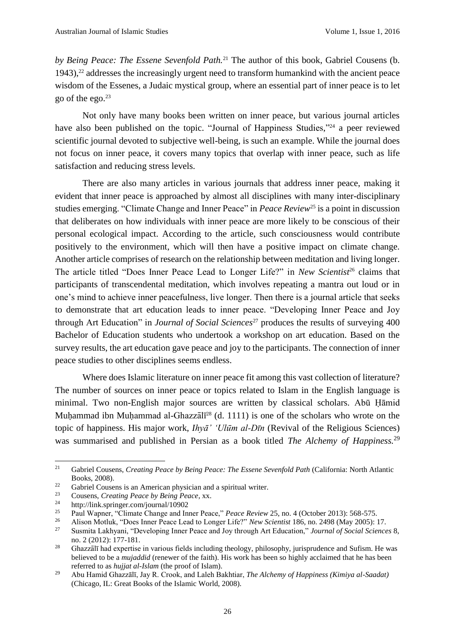*by Being Peace: The Essene Sevenfold Path.*<sup>21</sup> The author of this book, Gabriel Cousens (b. 1943), $22$  addresses the increasingly urgent need to transform humankind with the ancient peace wisdom of the Essenes, a Judaic mystical group, where an essential part of inner peace is to let go of the ego. $23$ 

Not only have many books been written on inner peace, but various journal articles have also been published on the topic. "Journal of Happiness Studies,"<sup>24</sup> a peer reviewed scientific journal devoted to subjective well-being, is such an example. While the journal does not focus on inner peace, it covers many topics that overlap with inner peace, such as life satisfaction and reducing stress levels.

There are also many articles in various journals that address inner peace, making it evident that inner peace is approached by almost all disciplines with many inter-disciplinary studies emerging. "Climate Change and Inner Peace" in *Peace Review*<sup>25</sup> is a point in discussion that deliberates on how individuals with inner peace are more likely to be conscious of their personal ecological impact. According to the article, such consciousness would contribute positively to the environment, which will then have a positive impact on climate change. Another article comprises of research on the relationship between meditation and living longer. The article titled "Does Inner Peace Lead to Longer Life?" in *New Scientist*<sup>26</sup> claims that participants of transcendental meditation, which involves repeating a mantra out loud or in one's mind to achieve inner peacefulness, live longer. Then there is a journal article that seeks to demonstrate that art education leads to inner peace. "Developing Inner Peace and Joy through Art Education" in *Journal of Social Sciences*<sup>27</sup> produces the results of surveying 400 Bachelor of Education students who undertook a workshop on art education. Based on the survey results, the art education gave peace and joy to the participants. The connection of inner peace studies to other disciplines seems endless.

Where does Islamic literature on inner peace fit among this vast collection of literature? The number of sources on inner peace or topics related to Islam in the English language is minimal. Two non-English major sources are written by classical scholars. Abū Ḥāmid Muḥammad ibn Muḥammad al-Ghazzālī<sup>28</sup> (d. 1111) is one of the scholars who wrote on the topic of happiness. His major work, *Ihyā' ʻUlūm al-Dīn* (Revival of the Religious Sciences) was summarised and published in Persian as a book titled *The Alchemy of Happiness.*<sup>29</sup>

<sup>&</sup>lt;sup>21</sup> Gabriel Cousens, *Creating Peace by Being Peace: The Essene Sevenfold Path (California: North Atlantic* Books, 2008).

 $22$  Gabriel Cousens is an American physician and a spiritual writer.

<sup>23</sup> Cousens, *Creating Peace by Being Peace*, xx.

<sup>&</sup>lt;sup>24</sup> http://link.springer.com/journal/10902<br><sup>25</sup> Poul Wanner "Climate Change and In

<sup>&</sup>lt;sup>25</sup> Paul Wapner, "Climate Change and Inner Peace," *Peace Review* 25, no. 4 (October 2013): 568-575.<br><sup>26</sup> Alison Motluk "Does Inner Peace Lead to Longer Life?" New Scientist 186, no. 2408 (May 2005): 1

<sup>26</sup> Alison Motluk, "Does Inner Peace Lead to Longer Life?" *New Scientist* 186, no. 2498 (May 2005): 17.

<sup>27</sup> Susmita Lakhyani, "Developing Inner Peace and Joy through Art Education," *Journal of Social Sciences* 8, no. 2 (2012): 177-181.

<sup>&</sup>lt;sup>28</sup> Ghazzālī had expertise in various fields including theology, philosophy, jurisprudence and Sufism. He was believed to be a *mujaddid* (renewer of the faith). His work has been so highly acclaimed that he has been referred to as *hujjat al-Islam* (the proof of Islam).

<sup>29</sup> Abu Hamid Ghazzālī, Jay R. Crook, and Laleh Bakhtiar, *The Alchemy of Happiness (Kimiya al-Saadat)* (Chicago, IL: Great Books of the Islamic World, 2008).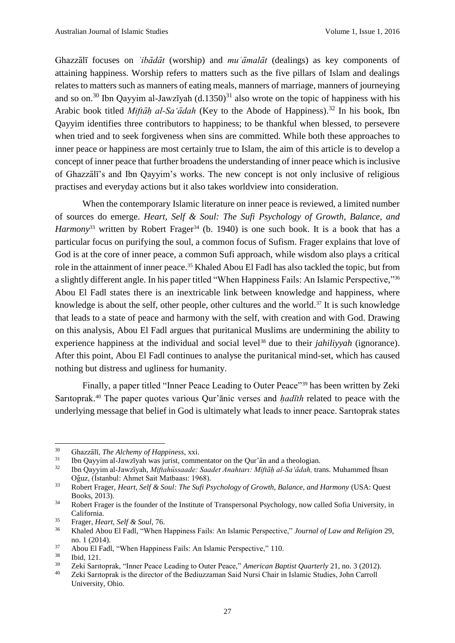Ghazzālī focuses on *ʿibādāt* (worship) and *muʿāmalāt* (dealings) as key components of attaining happiness. Worship refers to matters such as the five pillars of Islam and dealings relates to matters such as manners of eating meals, manners of marriage, manners of journeying and so on.<sup>30</sup> Ibn Qayyim al-Jawzīyah (d.1350)<sup>31</sup> also wrote on the topic of happiness with his Arabic book titled *Miftāḥ al-Saʻādah* (Key to the Abode of Happiness). <sup>32</sup> In his book, Ibn Qayyim identifies three contributors to happiness; to be thankful when blessed, to persevere when tried and to seek forgiveness when sins are committed. While both these approaches to inner peace or happiness are most certainly true to Islam, the aim of this article is to develop a concept of inner peace that further broadens the understanding of inner peace which is inclusive of Ghazzālī's and Ibn Qayyim's works. The new concept is not only inclusive of religious practises and everyday actions but it also takes worldview into consideration.

When the contemporary Islamic literature on inner peace is reviewed, a limited number of sources do emerge. *Heart, Self & Soul: The Sufi Psychology of Growth, Balance, and Harmony*<sup>33</sup> written by Robert Frager<sup>34</sup> (b. 1940) is one such book. It is a book that has a particular focus on purifying the soul, a common focus of Sufism. Frager explains that love of God is at the core of inner peace, a common Sufi approach, while wisdom also plays a critical role in the attainment of inner peace. <sup>35</sup> Khaled Abou El Fadl has also tackled the topic, but from a slightly different angle. In his paper titled "When Happiness Fails: An Islamic Perspective,"<sup>36</sup> Abou El Fadl states there is an inextricable link between knowledge and happiness, where knowledge is about the self, other people, other cultures and the world.<sup>37</sup> It is such knowledge that leads to a state of peace and harmony with the self, with creation and with God. Drawing on this analysis, Abou El Fadl argues that puritanical Muslims are undermining the ability to experience happiness at the individual and social level<sup>38</sup> due to their *jahiliyyah* (ignorance). After this point, Abou El Fadl continues to analyse the puritanical mind-set, which has caused nothing but distress and ugliness for humanity.

Finally, a paper titled "Inner Peace Leading to Outer Peace"<sup>39</sup> has been written by Zeki Saritoprak.<sup>40</sup> The paper quotes various Qur'ānic verses and *hadīth* related to peace with the underlying message that belief in God is ultimately what leads to inner peace. Saritoprak states

<sup>30</sup> Ghazzālī, *The Alchemy of Happiness*, xxi.

<sup>&</sup>lt;sup>31</sup> Ibn Qayyim al-Jawzīyah was jurist, commentator on the Qur'ān and a theologian.<br><sup>32</sup> Ibn Qayyim al-Jawzīyah *Miftshijassada: Saadat Anghtam: Miftāh al-Saiādah tr*e

<sup>32</sup> Ibn Qayyim al-Jawzīyah, *Miftahüssaade: Saadet Anahtari: Miftāḥal-Saʻādah,* trans. Muhammed I ̇hsan Oğuz, (I ̇stanbul: Ahmet Sait Matbaasi: 1968).

<sup>33</sup> Robert Frager, *Heart, Self & Soul: The Sufi Psychology of Growth, Balance, and Harmony* (USA: Quest Books, 2013).

<sup>&</sup>lt;sup>34</sup> Robert Frager is the founder of the Institute of Transpersonal Psychology, now called Sofia University, in California.

<sup>35</sup> Frager, *Heart, Self & Soul*, 76.

<sup>36</sup> Khaled Abou El Fadl, "When Happiness Fails: An Islamic Perspective," *Journal of Law and Religion* 29, no. 1 (2014).

<sup>&</sup>lt;sup>37</sup> Abou El Fadl, "When Happiness Fails: An Islamic Perspective," 110.<br><sup>38</sup> Ibid 121

 $\frac{38}{39}$  Ibid, 121.

<sup>&</sup>lt;sup>39</sup> Zeki Saritoprak, "Inner Peace Leading to Outer Peace," *American Baptist Quarterly* 21, no. 3 (2012).<br><sup>40</sup> Zeki Saritoprak is the director of the Bediuzzamen Said Nursi Chair in Islamic Studies, John Carroll

<sup>40</sup> Zeki Saritoprak is the director of the Bediuzzaman Said Nursi Chair in Islamic Studies, John Carroll University, Ohio.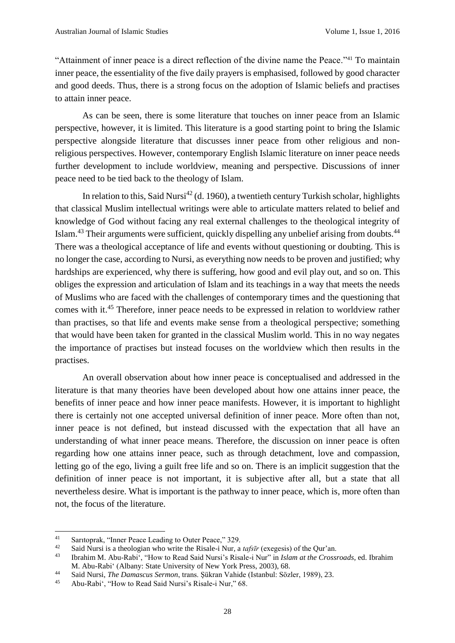"Attainment of inner peace is a direct reflection of the divine name the Peace."<sup>41</sup> To maintain inner peace, the essentiality of the five daily prayers is emphasised, followed by good character and good deeds. Thus, there is a strong focus on the adoption of Islamic beliefs and practises to attain inner peace.

As can be seen, there is some literature that touches on inner peace from an Islamic perspective, however, it is limited. This literature is a good starting point to bring the Islamic perspective alongside literature that discusses inner peace from other religious and nonreligious perspectives. However, contemporary English Islamic literature on inner peace needs further development to include worldview, meaning and perspective. Discussions of inner peace need to be tied back to the theology of Islam.

In relation to this, Said Nursi<sup>42</sup> (d. 1960), a twentieth century Turkish scholar, highlights that classical Muslim intellectual writings were able to articulate matters related to belief and knowledge of God without facing any real external challenges to the theological integrity of Islam.<sup>43</sup> Their arguments were sufficient, quickly dispelling any unbelief arising from doubts.<sup>44</sup> There was a theological acceptance of life and events without questioning or doubting. This is no longer the case, according to Nursi, as everything now needs to be proven and justified; why hardships are experienced, why there is suffering, how good and evil play out, and so on. This obliges the expression and articulation of Islam and its teachings in a way that meets the needs of Muslims who are faced with the challenges of contemporary times and the questioning that comes with it. <sup>45</sup> Therefore, inner peace needs to be expressed in relation to worldview rather than practises, so that life and events make sense from a theological perspective; something that would have been taken for granted in the classical Muslim world. This in no way negates the importance of practises but instead focuses on the worldview which then results in the practises.

An overall observation about how inner peace is conceptualised and addressed in the literature is that many theories have been developed about how one attains inner peace, the benefits of inner peace and how inner peace manifests. However, it is important to highlight there is certainly not one accepted universal definition of inner peace. More often than not, inner peace is not defined, but instead discussed with the expectation that all have an understanding of what inner peace means. Therefore, the discussion on inner peace is often regarding how one attains inner peace, such as through detachment, love and compassion, letting go of the ego, living a guilt free life and so on. There is an implicit suggestion that the definition of inner peace is not important, it is subjective after all, but a state that all nevertheless desire. What is important is the pathway to inner peace, which is, more often than not, the focus of the literature.

 $41$ <sup>41</sup> Saritoprak, "Inner Peace Leading to Outer Peace," 329.

<sup>42</sup> Said Nursi is a theologian who write the Risale-i Nur, a *tafsīr* (exegesis) of the Qur'an.<br><sup>43</sup> Ibrahim M. Abu Babi', "How to Bead Said Nursi's Bisale i Nur" in *Islam at the Cross* 

<sup>43</sup> Ibrahim M. Abu-Rabiʻ, "How to Read Said Nursi's Risale-i Nur" in *Islam at the Crossroads*, ed. Ibrahim M. Abu-Rabiʻ (Albany: State University of New York Press, 2003), 68.

<sup>44</sup> Said Nursi, *The Damascus Sermon*, trans. Şükran Vahide (Istanbul: Sözler, 1989), 23.

<sup>45</sup> Abu-Rabiʻ, "How to Read Said Nursi's Risale-i Nur," 68.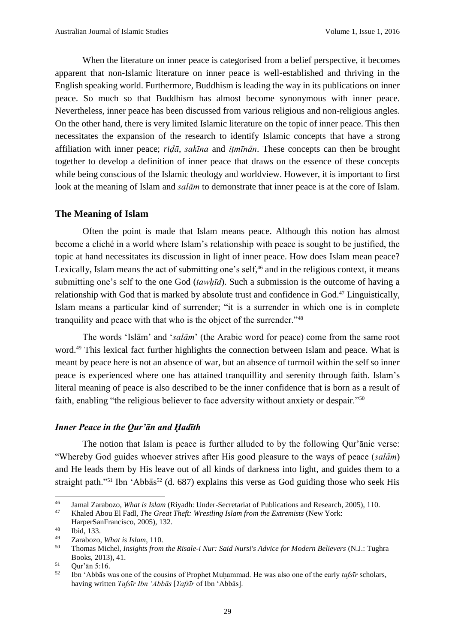When the literature on inner peace is categorised from a belief perspective, it becomes apparent that non-Islamic literature on inner peace is well-established and thriving in the English speaking world. Furthermore, Buddhism is leading the way in its publications on inner peace. So much so that Buddhism has almost become synonymous with inner peace. Nevertheless, inner peace has been discussed from various religious and non-religious angles. On the other hand, there is very limited Islamic literature on the topic of inner peace. This then necessitates the expansion of the research to identify Islamic concepts that have a strong affiliation with inner peace; *riḍā*, *sakīna* and *itmīnān*. These concepts can then be brought together to develop a definition of inner peace that draws on the essence of these concepts while being conscious of the Islamic theology and worldview. However, it is important to first look at the meaning of Islam and *salām* to demonstrate that inner peace is at the core of Islam.

#### **The Meaning of Islam**

Often the point is made that Islam means peace. Although this notion has almost become a cliché in a world where Islam's relationship with peace is sought to be justified, the topic at hand necessitates its discussion in light of inner peace. How does Islam mean peace? Lexically, Islam means the act of submitting one's self,<sup>46</sup> and in the religious context, it means submitting one's self to the one God *(tawhid)*. Such a submission is the outcome of having a relationship with God that is marked by absolute trust and confidence in God.<sup>47</sup> Linguistically, Islam means a particular kind of surrender; "it is a surrender in which one is in complete tranquility and peace with that who is the object of the surrender."<sup>48</sup>

The words 'Islām' and '*salām*' (the Arabic word for peace) come from the same root word.<sup>49</sup> This lexical fact further highlights the connection between Islam and peace. What is meant by peace here is not an absence of war, but an absence of turmoil within the self so inner peace is experienced where one has attained tranquillity and serenity through faith. Islam's literal meaning of peace is also described to be the inner confidence that is born as a result of faith, enabling "the religious believer to face adversity without anxiety or despair."<sup>50</sup>

#### *Inner Peace in the Qur'ān and Ḥadīth*

The notion that Islam is peace is further alluded to by the following Qur'ānic verse: "Whereby God guides whoever strives after His good pleasure to the ways of peace (*salām*) and He leads them by His leave out of all kinds of darkness into light, and guides them to a straight path."<sup>51</sup> Ibn 'Abbās<sup>52</sup> (d. 687) explains this verse as God guiding those who seek His

<sup>&</sup>lt;sup>46</sup> Jamal Zarabozo, *What is Islam* (Riyadh: Under-Secretariat of Publications and Research, 2005), 110.<br><sup>47</sup> Khalod Abou El Eodl. *The Creat Theft: Wrestling Jelam from the Extremists* (Now York: <sup>47</sup> Khaled Abou El Fadl, *The Great Theft: Wrestling Islam from the Extremists* (New York:

HarperSanFrancisco, 2005), 132.

 $\begin{array}{r} 48 \\ 49 \end{array}$  Ibid, 133.

<sup>49</sup> Zarabozo, *What is Islam*, 110.

<sup>50</sup> Thomas Michel, *Insights from the Risale-i Nur: Said Nursi's Advice for Modern Believers* (N.J.: Tughra Books, 2013), 41.

 $51$  Our' $\bar{a}$ n 5:16.

<sup>&</sup>lt;sup>52</sup> Ibn 'Abbās was one of the cousins of Prophet Muhammad. He was also one of the early *tafsīr* scholars, having written *Tafsīr Ibn ʻAbbās* [*Tafsīr* of Ibn ʻAbbās].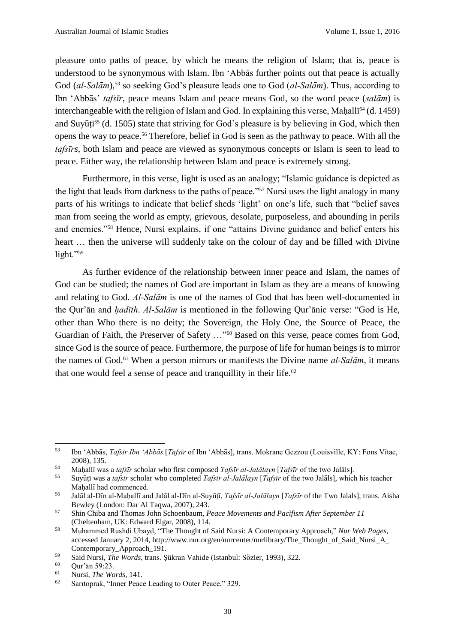pleasure onto paths of peace, by which he means the religion of Islam; that is, peace is understood to be synonymous with Islam. Ibn ʻAbbās further points out that peace is actually God (*al-Salām*), <sup>53</sup> so seeking God's pleasure leads one to God (*al-Salām*). Thus, according to Ibn ʻAbbās' *tafsīr*, peace means Islam and peace means God, so the word peace (*salām*) is interchangeable with the religion of Islam and God. In explaining this verse, Maḥallī<sup>54</sup> (d. 1459) and Suyūtī<sup>55</sup> (d. 1505) state that striving for God's pleasure is by believing in God, which then opens the way to peace.<sup>56</sup> Therefore, belief in God is seen as the pathway to peace. With all the *tafsīrs*, both Islam and peace are viewed as synonymous concepts or Islam is seen to lead to peace. Either way, the relationship between Islam and peace is extremely strong.

Furthermore, in this verse, light is used as an analogy; "Islamic guidance is depicted as the light that leads from darkness to the paths of peace."<sup>57</sup> Nursi uses the light analogy in many parts of his writings to indicate that belief sheds 'light' on one's life, such that "belief saves man from seeing the world as empty, grievous, desolate, purposeless, and abounding in perils and enemies."<sup>58</sup> Hence, Nursi explains, if one "attains Divine guidance and belief enters his heart … then the universe will suddenly take on the colour of day and be filled with Divine light."59

As further evidence of the relationship between inner peace and Islam, the names of God can be studied; the names of God are important in Islam as they are a means of knowing and relating to God. *Al-Salām* is one of the names of God that has been well-documented in the Qur'ān and *hạ dīth*. *Al-Salām* is mentioned in the following Qur'ānic verse: "God is He, other than Who there is no deity; the Sovereign, the Holy One, the Source of Peace, the Guardian of Faith, the Preserver of Safety …"<sup>60</sup> Based on this verse, peace comes from God, since God is the source of peace. Furthermore, the purpose of life for human beings is to mirror the names of God.<sup>61</sup> When a person mirrors or manifests the Divine name *al-Salām*, it means that one would feel a sense of peace and tranquillity in their life. $62$ 

<sup>53</sup> Ibn ʻAbbās, *Tafsīr Ibn ʻAbbās* [*Tafsīr* of Ibn ʻAbbās], trans. Mokrane Gezzou (Louisville, KY: Fons Vitae, 2008), 135.

<sup>54</sup> Mahạ llīwas a *tafsīr* scholar who first composed *Tafsīr al-Jalālayn* [*Tafsīr* of the two Jalāls].

<sup>55</sup> Suyūtị̄ was a *tafsīr* scholar who completed *Tafsīr al-Jalālayn* [*Tafsīr* of the two Jalāls], which his teacher Mahallī had commenced.

<sup>56</sup> Jalāl al-Dīn al-Mahạ llīand Jalāl al-Dīn al-Suyūtị̄, *Tafsīr al-Jalālayn* [*Tafsīr* of the Two Jalals], trans. Aisha Bewley (London: Dar Al Taqwa, 2007), 243.

<sup>57</sup> Shin Chiba and Thomas John Schoenbaum, *Peace Movements and Pacifism After September 11* (Cheltenham, UK: Edward Elgar, 2008), 114.

<sup>58</sup> Muhammed Rushdi Ubayd, "The Thought of Said Nursi: A Contemporary Approach," *Nur Web Pages*, accessed January 2, 2014, http://www.nur.org/en/nurcenter/nurlibrary/The\_Thought\_of\_Said\_Nursi\_A Contemporary\_Approach\_191.

<sup>59</sup> Said Nursi, *The Words*, trans. Şükran Vahide (Istanbul: Sözler, 1993), 322.

Our'ān 59:23.

<sup>61</sup> Nursi, *The Words*, 141.

<sup>62</sup> Saritoprak, "Inner Peace Leading to Outer Peace," 329.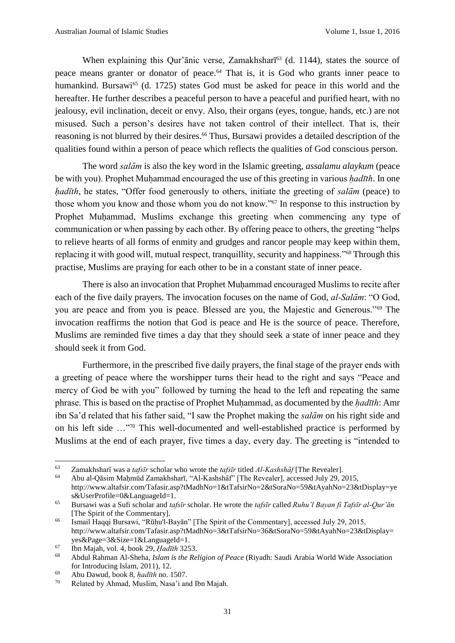When explaining this Qur'anic verse, Zamakhshari<sup>63</sup> (d. 1144), states the source of peace means granter or donator of peace.<sup>64</sup> That is, it is God who grants inner peace to humankind. Bursawi<sup>65</sup> (d. 1725) states God must be asked for peace in this world and the hereafter. He further describes a peaceful person to have a peaceful and purified heart, with no jealousy, evil inclination, deceit or envy. Also, their organs (eyes, tongue, hands, etc.) are not misused. Such a person's desires have not taken control of their intellect. That is, their reasoning is not blurred by their desires.<sup>66</sup> Thus, Bursawi provides a detailed description of the qualities found within a person of peace which reflects the qualities of God conscious person.

The word *salām* is also the key word in the Islamic greeting, *assalamu alaykum* (peace be with you). Prophet Muhammad encouraged the use of this greeting in various *hadīth*. In one *hadīth*, he states, "Offer food generously to others, initiate the greeting of *salām* (peace) to those whom you know and those whom you do not know."<sup>67</sup> In response to this instruction by Prophet Muhammad, Muslims exchange this greeting when commencing any type of communication or when passing by each other. By offering peace to others, the greeting "helps to relieve hearts of all forms of enmity and grudges and rancor people may keep within them, replacing it with good will, mutual respect, tranquillity, security and happiness."<sup>68</sup> Through this practise, Muslims are praying for each other to be in a constant state of inner peace.

There is also an invocation that Prophet Muhammad encouraged Muslims to recite after each of the five daily prayers. The invocation focuses on the name of God, *al-Salām*: "O God, you are peace and from you is peace. Blessed are you, the Majestic and Generous."<sup>69</sup> The invocation reaffirms the notion that God is peace and He is the source of peace. Therefore, Muslims are reminded five times a day that they should seek a state of inner peace and they should seek it from God.

Furthermore, in the prescribed five daily prayers, the final stage of the prayer ends with a greeting of peace where the worshipper turns their head to the right and says "Peace and mercy of God be with you" followed by turning the head to the left and repeating the same phrase. This is based on the practise of Prophet Muhammad, as documented by the *hadīth*: Amr ibn Sa'd related that his father said, "I saw the Prophet making the *salām* on his right side and on his left side …"<sup>70</sup> This well-documented and well-established practice is performed by Muslims at the end of each prayer, five times a day, every day. The greeting is "intended to

<sup>63</sup> Zamakhsharīwas a *tafsīr* scholar who wrote the *tafsīr* titled *Al-Kashshāf* [The Revealer].

<sup>64</sup> Abu al-Qāsim Maḥmūd Zamakhsharī, "Al-Kashshāf" [The Revealer], accessed July 29, 2015, http://www.altafsir.com/Tafasir.asp?tMadhNo=1&tTafsirNo=2&tSoraNo=59&tAyahNo=23&tDisplay=ye s&UserProfile=0&LanguageId=1.

<sup>65</sup> Bursawi was a Sufi scholar and *tafsīr* scholar. He wrote the *tafsīr* called *Ruhu'l Bayan fi Tafsīr al-Qur'ān* [The Spirit of the Commentary].

<sup>&</sup>lt;sup>66</sup> Ismail Haqqi Bursawi, "Rūḥu'l-Bayān" [The Spirit of the Commentary], accessed July 29, 2015, http://www.altafsir.com/Tafasir.asp?tMadhNo=3&tTafsirNo=36&tSoraNo=59&tAyahNo=23&tDisplay= yes&Page=3&Size=1&LanguageId=1.

<sup>67</sup> Ibn Majah, vol. 4, book 29, *Ḥadīth* 3253.

<sup>68</sup> Abdul Rahman Al-Sheha, *Islam is the Religion of Peace* (Riyadh: Saudi Arabia World Wide Association for Introducing Islam, 2011), 12.

<sup>69</sup> Abu Dawud, book 8, *hạ dīth* no. 1507.

Related by Ahmad, Muslim, Nasa'i and Ibn Majah.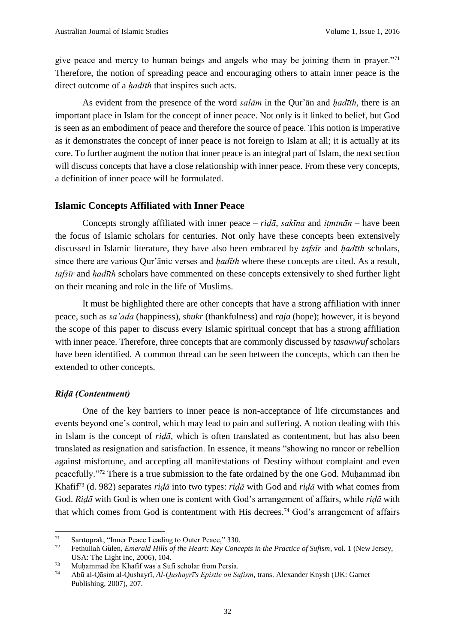give peace and mercy to human beings and angels who may be joining them in prayer."<sup>71</sup> Therefore, the notion of spreading peace and encouraging others to attain inner peace is the direct outcome of a *hadīth* that inspires such acts.

As evident from the presence of the word *salām* in the Qur'ān and *hạ dīth*, there is an important place in Islam for the concept of inner peace. Not only is it linked to belief, but God is seen as an embodiment of peace and therefore the source of peace. This notion is imperative as it demonstrates the concept of inner peace is not foreign to Islam at all; it is actually at its core. To further augment the notion that inner peace is an integral part of Islam, the next section will discuss concepts that have a close relationship with inner peace. From these very concepts, a definition of inner peace will be formulated.

#### **Islamic Concepts Affiliated with Inner Peace**

Concepts strongly affiliated with inner peace –  $rid\bar{a}$ , *sakīna* and  $itm\bar{n}\bar{a}n$  – have been the focus of Islamic scholars for centuries. Not only have these concepts been extensively discussed in Islamic literature, they have also been embraced by *tafsīr* and *hadīth* scholars, since there are various Qur'ānic verses and *hadīth* where these concepts are cited. As a result, *tafsīr* and *hạ dīth* scholars have commented on these concepts extensively to shed further light on their meaning and role in the life of Muslims.

It must be highlighted there are other concepts that have a strong affiliation with inner peace, such as *sa'ada* (happiness), *shukr* (thankfulness) and *raja* (hope); however, it is beyond the scope of this paper to discuss every Islamic spiritual concept that has a strong affiliation with inner peace. Therefore, three concepts that are commonly discussed by *tasawwuf* scholars have been identified. A common thread can be seen between the concepts, which can then be extended to other concepts.

#### *Riḍā (Contentment)*

One of the key barriers to inner peace is non-acceptance of life circumstances and events beyond one's control, which may lead to pain and suffering. A notion dealing with this in Islam is the concept of *riḍā*, which is often translated as contentment, but has also been translated as resignation and satisfaction. In essence, it means "showing no rancor or rebellion against misfortune, and accepting all manifestations of Destiny without complaint and even peacefully."<sup>72</sup> There is a true submission to the fate ordained by the one God. Muhammad ibn Khafif<sup>73</sup> (d. 982) separates *riḍā* into two types: *riḍā* with God and *riḍā* with what comes from God. *Riḍā* with God is when one is content with God's arrangement of affairs, while *riḍā* with that which comes from God is contentment with His decrees. <sup>74</sup> God's arrangement of affairs

 $71$ 71 Saritoprak, "Inner Peace Leading to Outer Peace," 330.

<sup>72</sup> Fethullah Gülen, *Emerald Hills of the Heart: Key Concepts in the Practice of Sufism*, vol. 1 (New Jersey, USA: The Light Inc, 2006), 104.

 $73$  Muhammad ibn Khafif was a Sufi scholar from Persia.

<sup>74</sup> Abū al-Qāsim al-Qushayrī, *Al-Qushayrī's Epistle on Sufism*, trans. Alexander Knysh (UK: Garnet Publishing, 2007), 207.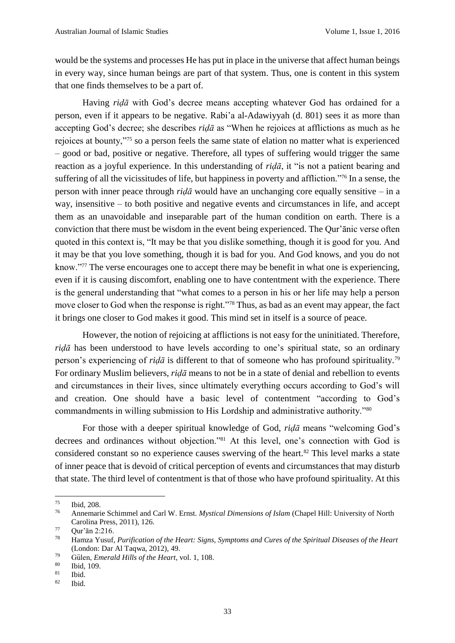would be the systems and processes He has put in place in the universe that affect human beings in every way, since human beings are part of that system. Thus, one is content in this system that one finds themselves to be a part of.

Having *riḍā* with God's decree means accepting whatever God has ordained for a person, even if it appears to be negative. Rabi'a al-Adawiyyah (d. 801) sees it as more than accepting God's decree; she describes *riḍā* as "When he rejoices at afflictions as much as he rejoices at bounty,"<sup>75</sup> so a person feels the same state of elation no matter what is experienced – good or bad, positive or negative. Therefore, all types of suffering would trigger the same reaction as a joyful experience. In this understanding of *riḍā*, it "is not a patient bearing and suffering of all the vicissitudes of life, but happiness in poverty and affliction."<sup>76</sup> In a sense, the person with inner peace through *riḍā* would have an unchanging core equally sensitive – in a way, insensitive – to both positive and negative events and circumstances in life, and accept them as an unavoidable and inseparable part of the human condition on earth. There is a conviction that there must be wisdom in the event being experienced. The Qur'ānic verse often quoted in this context is, "It may be that you dislike something, though it is good for you. And it may be that you love something, though it is bad for you. And God knows, and you do not know."<sup>77</sup> The verse encourages one to accept there may be benefit in what one is experiencing, even if it is causing discomfort, enabling one to have contentment with the experience. There is the general understanding that "what comes to a person in his or her life may help a person move closer to God when the response is right."<sup>78</sup> Thus, as bad as an event may appear, the fact it brings one closer to God makes it good. This mind set in itself is a source of peace.

However, the notion of rejoicing at afflictions is not easy for the uninitiated. Therefore, *riḍā* has been understood to have levels according to one's spiritual state, so an ordinary person's experiencing of *riḍā* is different to that of someone who has profound spirituality.<sup>79</sup> For ordinary Muslim believers, *riḍā* means to not be in a state of denial and rebellion to events and circumstances in their lives, since ultimately everything occurs according to God's will and creation. One should have a basic level of contentment "according to God's commandments in willing submission to His Lordship and administrative authority."<sup>80</sup>

For those with a deeper spiritual knowledge of God, *riḍā* means "welcoming God's decrees and ordinances without objection."<sup>81</sup> At this level, one's connection with God is considered constant so no experience causes swerving of the heart.<sup>82</sup> This level marks a state of inner peace that is devoid of critical perception of events and circumstances that may disturb that state. The third level of contentment is that of those who have profound spirituality. At this

 $\frac{75}{76}$  Ibid, 208.

<sup>76</sup> Annemarie Schimmel and Carl W. Ernst. *Mystical Dimensions of Islam* (Chapel Hill: University of North Carolina Press, 2011), 126.

 $77$  Qur'ān 2:216.

<sup>78</sup> Hamza Yusuf, *Purification of the Heart: Signs, Symptoms and Cures of the Spiritual Diseases of the Heart* (London: Dar Al Taqwa, 2012), 49.

<sup>79</sup> Gülen, *Emerald Hills of the Heart*, vol. 1, 108.

 $\frac{80}{81}$  Ibid, 109.

Ibid.

 $82$  Ibid.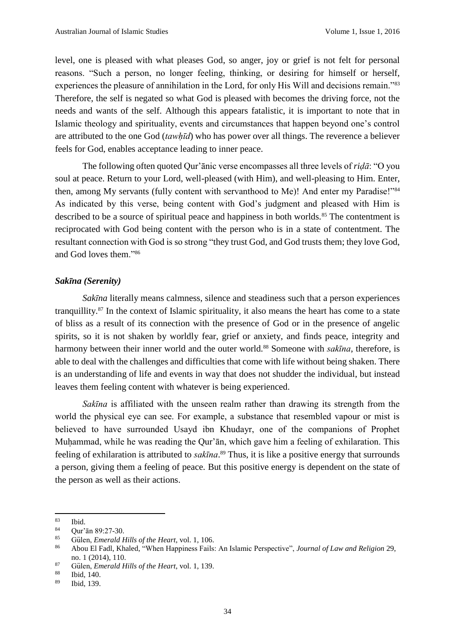level, one is pleased with what pleases God, so anger, joy or grief is not felt for personal reasons. "Such a person, no longer feeling, thinking, or desiring for himself or herself, experiences the pleasure of annihilation in the Lord, for only His Will and decisions remain."<sup>83</sup> Therefore, the self is negated so what God is pleased with becomes the driving force, not the needs and wants of the self. Although this appears fatalistic, it is important to note that in Islamic theology and spirituality, events and circumstances that happen beyond one's control are attributed to the one God (*tawhị̄d*) who has power over all things. The reverence a believer feels for God, enables acceptance leading to inner peace.

The following often quoted Qur'ānic verse encompasses all three levels of *riḍā*: "O you soul at peace. Return to your Lord, well-pleased (with Him), and well-pleasing to Him. Enter, then, among My servants (fully content with servanthood to Me)! And enter my Paradise!"<sup>84</sup> As indicated by this verse, being content with God's judgment and pleased with Him is described to be a source of spiritual peace and happiness in both worlds.<sup>85</sup> The contentment is reciprocated with God being content with the person who is in a state of contentment. The resultant connection with God is so strong "they trust God, and God trusts them; they love God, and God loves them."<sup>86</sup>

#### *Sakīna (Serenity)*

*Sakīna* literally means calmness, silence and steadiness such that a person experiences tranquillity.<sup>87</sup> In the context of Islamic spirituality, it also means the heart has come to a state of bliss as a result of its connection with the presence of God or in the presence of angelic spirits, so it is not shaken by worldly fear, grief or anxiety, and finds peace, integrity and harmony between their inner world and the outer world.<sup>88</sup> Someone with *sakūna*, therefore, is able to deal with the challenges and difficulties that come with life without being shaken. There is an understanding of life and events in way that does not shudder the individual, but instead leaves them feeling content with whatever is being experienced.

*Sakīna* is affiliated with the unseen realm rather than drawing its strength from the world the physical eye can see. For example, a substance that resembled vapour or mist is believed to have surrounded Usayd ibn Khudayr, one of the companions of Prophet Muhammad, while he was reading the Qur'ān, which gave him a feeling of exhilaration. This feeling of exhilaration is attributed to *sakīna*. <sup>89</sup> Thus, it is like a positive energy that surrounds a person, giving them a feeling of peace. But this positive energy is dependent on the state of the person as well as their actions.

 $\begin{array}{c} 83 \\ 84 \end{array}$  Ibid.

 $84 \text{ Qur'ān } 89:27-30.$ <br> $85 \text{ Gülen Emandd }$ 

<sup>85</sup> Gülen, *Emerald Hills of the Heart*, vol. 1, 106.

<sup>86</sup> Abou El Fadl, Khaled, "When Happiness Fails: An Islamic Perspective", *Journal of Law and Religion* 29, no. 1 (2014), 110.

<sup>87</sup> Gülen, *Emerald Hills of the Heart*, vol. 1, 139.

<sup>88</sup> Ibid, 140.

<sup>89</sup> Ibid, 139.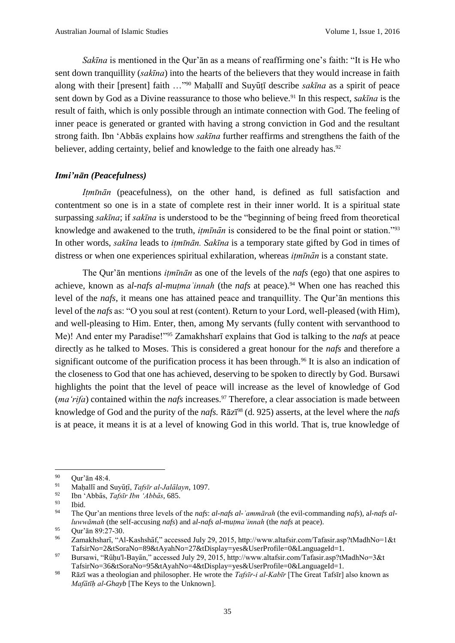*Sakīna* is mentioned in the Qur'ān as a means of reaffirming one's faith: "It is He who sent down tranquillity (*sakīna*) into the hearts of the believers that they would increase in faith along with their [present] faith ..."<sup>90</sup> Maḥallī and Suyūṭī describe *sakīna* as a spirit of peace sent down by God as a Divine reassurance to those who believe.<sup>91</sup> In this respect, *sakūna* is the result of faith, which is only possible through an intimate connection with God. The feeling of inner peace is generated or granted with having a strong conviction in God and the resultant strong faith. Ibn ʻAbbās explains how *sakīna* further reaffirms and strengthens the faith of the believer, adding certainty, belief and knowledge to the faith one already has.<sup>92</sup>

## *Itmi'nān (Peacefulness)*

*Itmīnān* (peacefulness), on the other hand, is defined as full satisfaction and contentment so one is in a state of complete rest in their inner world. It is a spiritual state surpassing *sakīna*; if *sakīna* is understood to be the "beginning of being freed from theoretical knowledge and awakened to the truth, *itmīnān* is considered to be the final point or station."<sup>93</sup> In other words, *sakīna* leads to *itmīnān*. Sakīna is a temporary state gifted by God in times of distress or when one experiences spiritual exhilaration, whereas *itminan* is a constant state.

The Qur'an mentions *itmunan* as one of the levels of the *nafs* (ego) that one aspires to achieve, known as a*l-nafs al-muṭmaʾinnah* (the *nafs* at peace). <sup>94</sup> When one has reached this level of the *nafs*, it means one has attained peace and tranquillity. The Qur'ān mentions this level of the *nafs* as: "O you soul at rest (content). Return to your Lord, well-pleased (with Him), and well-pleasing to Him. Enter, then, among My servants (fully content with servanthood to Me)! And enter my Paradise!"<sup>95</sup> Zamakhsharīexplains that God is talking to the *nafs* at peace directly as he talked to Moses. This is considered a great honour for the *nafs* and therefore a significant outcome of the purification process it has been through.<sup>96</sup> It is also an indication of the closeness to God that one has achieved, deserving to be spoken to directly by God. Bursawi highlights the point that the level of peace will increase as the level of knowledge of God (*ma* 'rifa) contained within the *nafs* increases.<sup>97</sup> Therefore, a clear association is made between knowledge of God and the purity of the *nafs.* Rāzī<sup>98</sup> (d. 925) asserts, at the level where the *nafs*  is at peace, it means it is at a level of knowing God in this world. That is, true knowledge of

 $\overline{a}$ 

 $90$  Qur'ān 48:4.

<sup>&</sup>lt;sup>91</sup> Mahallī and Suyūtī, *Tafsīr al-Jalālayn*, 1097.

<sup>92</sup> Ibn ʻAbbās, *Tafsīr Ibn ʻAbbās*, 685.

 $\frac{93}{94}$  Ibid.

<sup>94</sup> The Qur'an mentions three levels of the *nafs*: *al-nafs al-ʾammārah* (the evil-commanding *nafs*), a*l-nafs alluwwāmah* (the self-accusing *nafs*) and a*l-nafs al-muṭmaʾinnah* (the *nafs* at peace).

 $^{95}$  Qur'ān 89:27-30.

<sup>96</sup> Zamakhsharī, "Al-Kashshāf," accessed July 29, 2015, http://www.altafsir.com/Tafasir.asp?tMadhNo=1&t TafsirNo=2&tSoraNo=89&tAyahNo=27&tDisplay=yes&UserProfile=0&LanguageId=1.

<sup>97</sup> Bursawi, "Rūḥu'l-Bayān," accessed July 29, 2015, http://www.altafsir.com/Tafasir.asp?tMadhNo=3&t TafsirNo=36&tSoraNo=95&tAyahNo=4&tDisplay=yes&UserProfile=0&LanguageId=1.

<sup>98</sup> Rāzī was a theologian and philosopher. He wrote the *Tafsīr-i al-Kabīr* [The Great Tafsīr] also known as *Mafātīḥal-Ghayb* [The Keys to the Unknown].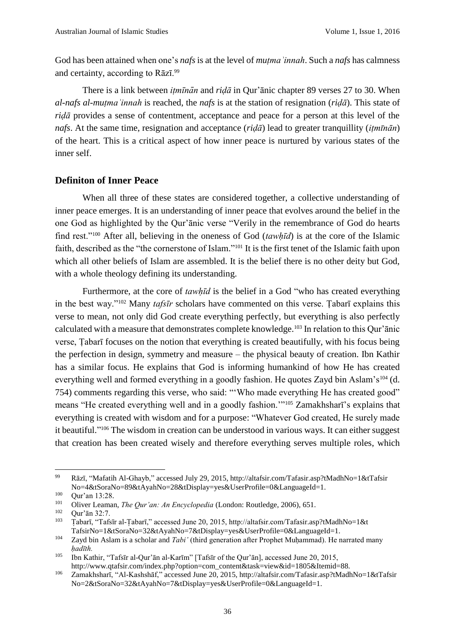God has been attained when one's *nafs* is at the level of *mutma'innah*. Such a *nafs* has calmness and certainty, according to Rāzī.<sup>99</sup>

There is a link between *itmīnān* and *riḍā* in Qur'ānic chapter 89 verses 27 to 30. When *al-nafs al-muṭmaʾinnah* is reached, the *nafs* is at the station of resignation (*riḍā*). This state of *riḍā* provides a sense of contentment, acceptance and peace for a person at this level of the *nafs*. At the same time, resignation and acceptance (*riḍā*) lead to greater tranquillity (*itmīnān*) of the heart. This is a critical aspect of how inner peace is nurtured by various states of the inner self.

#### **Definiton of Inner Peace**

When all three of these states are considered together, a collective understanding of inner peace emerges. It is an understanding of inner peace that evolves around the belief in the one God as highlighted by the Qur'ānic verse "Verily in the remembrance of God do hearts find rest."<sup>100</sup> After all, believing in the oneness of God (*tawhị̄d*) is at the core of the Islamic faith, described as the "the cornerstone of Islam."<sup>101</sup> It is the first tenet of the Islamic faith upon which all other beliefs of Islam are assembled. It is the belief there is no other deity but God, with a whole theology defining its understanding.

Furthermore, at the core of *tawhīd* is the belief in a God "who has created everything in the best way."<sup>102</sup> Many *tafsīr* scholars have commented on this verse. Tabarī explains this verse to mean, not only did God create everything perfectly, but everything is also perfectly calculated with a measure that demonstrates complete knowledge.<sup>103</sup> In relation to this Qur'ānic verse, Tabarī focuses on the notion that everything is created beautifully, with his focus being the perfection in design, symmetry and measure – the physical beauty of creation. Ibn Kathir has a similar focus. He explains that God is informing humankind of how He has created everything well and formed everything in a goodly fashion. He quotes Zayd bin Aslam's<sup>104</sup> (d. 754) comments regarding this verse, who said: "'Who made everything He has created good" means "He created everything well and in a goodly fashion.'"<sup>105</sup> Zamakhsharī's explains that everything is created with wisdom and for a purpose: "Whatever God created, He surely made it beautiful." <sup>106</sup> The wisdom in creation can be understood in various ways. It can either suggest that creation has been created wisely and therefore everything serves multiple roles, which

 $\overline{a}$ 

<sup>99</sup> Rāzī, "Mafatih Al-Ghayb," accessed July 29, 2015, http://altafsir.com/Tafasir.asp?tMadhNo=1&tTafsir No=4&tSoraNo=89&tAyahNo=28&tDisplay=yes&UserProfile=0&LanguageId=1.

 $100$  Qur'an 13:28.

<sup>&</sup>lt;sup>101</sup> Oliver Leaman, *The Qur'an: An Encyclopedia* (London: Routledge, 2006), 651.

 $\frac{102}{103}$  Qur'ān 32:7.

<sup>103</sup> Tạ barī, "Tafsīr al-Tạ barī," accessed June 20, 2015, http://altafsir.com/Tafasir.asp?tMadhNo=1&t TafsirNo=1&tSoraNo=32&tAyahNo=7&tDisplay=yes&UserProfile=0&LanguageId=1.

<sup>&</sup>lt;sup>104</sup> Zayd bin Aslam is a scholar and *Tabi'* (third generation after Prophet Muhammad). He narrated many *hạ dīth.*

<sup>105</sup> Ibn Kathir, "Tafsīr al-Qur'ān al-Karīm" [Tafsīr of the Qur'ān], accessed June 20, 2015, http://www.qtafsir.com/index.php?option=com\_content&task=view&id=1805&Itemid=88.

<sup>106</sup> Zamakhsharī, "Al-Kashshāf," accessed June 20, 2015, http://altafsir.com/Tafasir.asp?tMadhNo=1&tTafsir No=2&tSoraNo=32&tAyahNo=7&tDisplay=yes&UserProfile=0&LanguageId=1.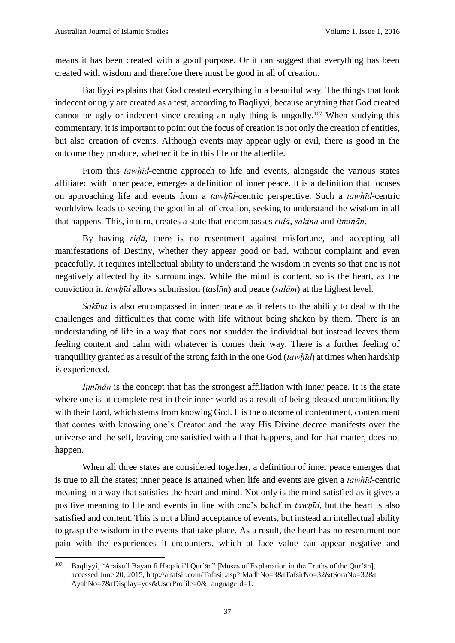means it has been created with a good purpose. Or it can suggest that everything has been created with wisdom and therefore there must be good in all of creation.

Baqliyyi explains that God created everything in a beautiful way. The things that look indecent or ugly are created as a test, according to Baqliyyi, because anything that God created cannot be ugly or indecent since creating an ugly thing is ungodly.<sup>107</sup> When studying this commentary, it is important to point out the focus of creation is not only the creation of entities, but also creation of events. Although events may appear ugly or evil, there is good in the outcome they produce, whether it be in this life or the afterlife.

From this *tawhid*-centric approach to life and events, alongside the various states affiliated with inner peace, emerges a definition of inner peace. It is a definition that focuses on approaching life and events from a *tawhị̄d*-centric perspective. Such a *tawhị̄d*-centric worldview leads to seeing the good in all of creation, seeking to understand the wisdom in all that happens. This, in turn, creates a state that encompasses *ridā*, *sakīna* and *itmīnān*.

By having *riḍā*, there is no resentment against misfortune, and accepting all manifestations of Destiny, whether they appear good or bad, without complaint and even peacefully. It requires intellectual ability to understand the wisdom in events so that one is not negatively affected by its surroundings. While the mind is content, so is the heart, as the conviction in *tawhị̄d* allows submission (*taslīm*) and peace (*salām*) at the highest level.

*Sakīna* is also encompassed in inner peace as it refers to the ability to deal with the challenges and difficulties that come with life without being shaken by them. There is an understanding of life in a way that does not shudder the individual but instead leaves them feeling content and calm with whatever is comes their way. There is a further feeling of tranquillity granted as a result of the strong faith in the one God (*tawhị̄d*) at times when hardship is experienced.

*Itmīnān* is the concept that has the strongest affiliation with inner peace. It is the state where one is at complete rest in their inner world as a result of being pleased unconditionally with their Lord, which stems from knowing God. It is the outcome of contentment, contentment that comes with knowing one's Creator and the way His Divine decree manifests over the universe and the self, leaving one satisfied with all that happens, and for that matter, does not happen.

When all three states are considered together, a definition of inner peace emerges that is true to all the states; inner peace is attained when life and events are given a *tawhị̄d*-centric meaning in a way that satisfies the heart and mind. Not only is the mind satisfied as it gives a positive meaning to life and events in line with one's belief in *tawhị̄d*, but the heart is also satisfied and content. This is not a blind acceptance of events, but instead an intellectual ability to grasp the wisdom in the events that take place. As a result, the heart has no resentment nor pain with the experiences it encounters, which at face value can appear negative and

<sup>107</sup> Baqliyyi, "Araisu'l Bayan fi Haqaiqi'l Qur'ān" [Muses of Explanation in the Truths of the Qur'ān], accessed June 20, 2015, http://altafsir.com/Tafasir.asp?tMadhNo=3&tTafsirNo=32&tSoraNo=32&t AyahNo=7&tDisplay=yes&UserProfile=0&LanguageId=1.